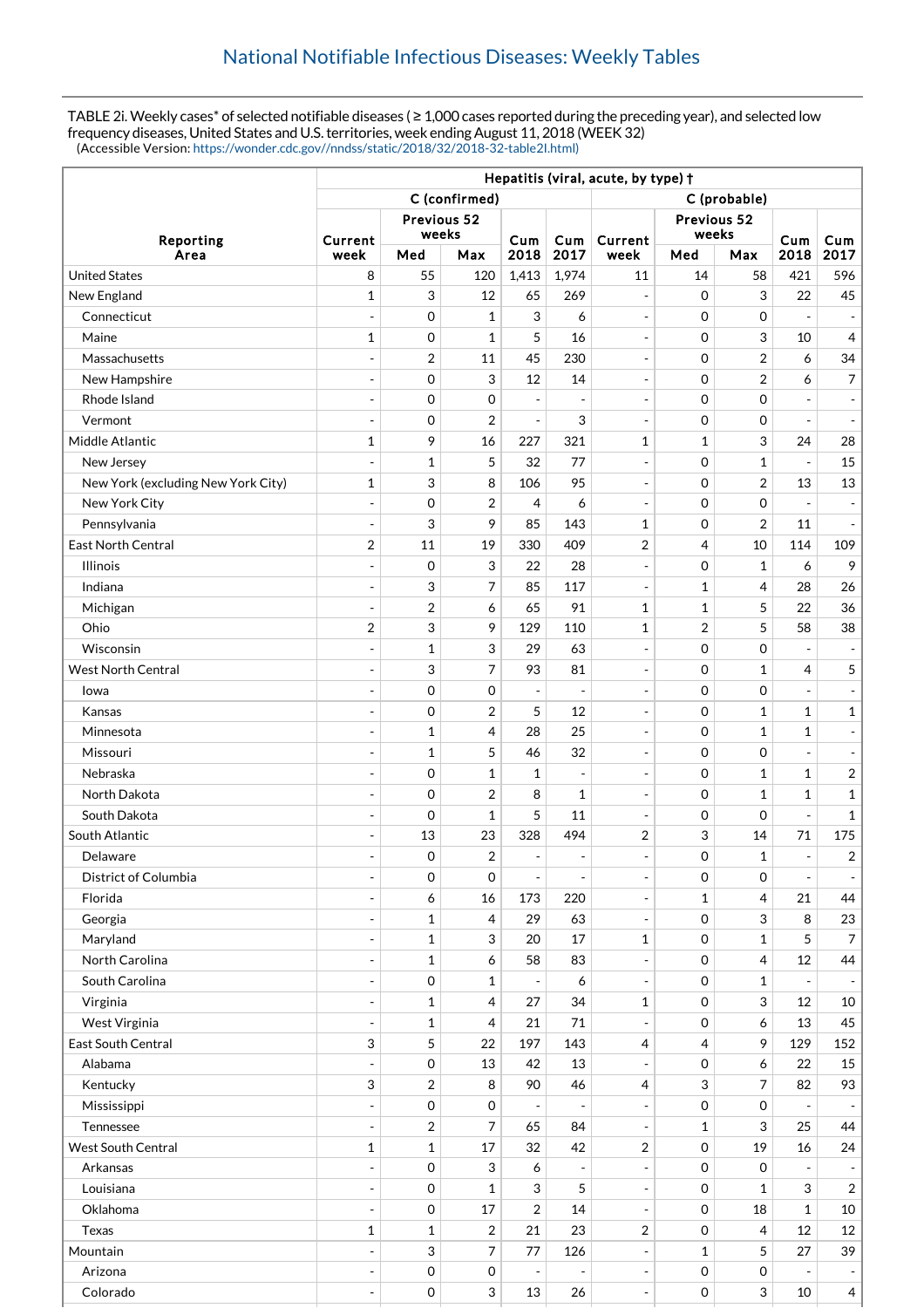TABLE 2i. Weekly cases\* of selected notifiable diseases (≥ 1,000 cases reported during the preceding year), and selected low frequency diseases, United States and U.S. territories, week ending August 11, 2018 (WEEK 32) (Accessible Version: [https://wonder.cdc.gov//nndss/static/2018/32/2018-32-table2I.html\)](https://wonder.cdc.gov//nndss/static/2018/32/2018-32-table2I.html)

|                                    | Hepatitis (viral, acute, by type) + |                     |                |                          |                              |                          |                     |                           |                          |                  |  |
|------------------------------------|-------------------------------------|---------------------|----------------|--------------------------|------------------------------|--------------------------|---------------------|---------------------------|--------------------------|------------------|--|
|                                    | C (confirmed)                       |                     |                |                          |                              | C (probable)             |                     |                           |                          |                  |  |
|                                    | Previous 52                         |                     |                |                          |                              | Previous 52              |                     |                           |                          |                  |  |
| Reporting                          | Current                             | weeks               |                | Cum                      | Cum                          | Current                  | weeks               |                           | Cum                      | Cum              |  |
| Area                               | week                                | Med                 | Max            | 2018                     | 2017                         | week                     | Med                 | Max                       | 2018                     | 2017             |  |
| <b>United States</b>               | 8                                   | 55                  | 120            | 1,413                    | 1,974                        | 11                       | 14                  | 58                        | 421                      | 596              |  |
| New England                        | 1                                   | 3                   | 12             | 65                       | 269                          | $\overline{\phantom{a}}$ | $\mathbf 0$         | 3                         | 22                       | 45               |  |
| Connecticut                        | $\overline{a}$                      | $\mathbf 0$         | $\mathbf{1}$   | 3                        | 6                            | $\overline{\phantom{a}}$ | $\mathbf 0$         | $\mathbf 0$               | ÷,                       |                  |  |
| Maine                              | 1                                   | 0                   | $\mathbf{1}$   | 5                        | 16                           | $\overline{\phantom{a}}$ | $\mathbf 0$         | 3                         | 10                       | 4                |  |
| Massachusetts                      |                                     | $\overline{2}$      | 11             | 45                       | 230                          | $\overline{\phantom{a}}$ | $\mathbf 0$         | $\overline{2}$            | 6                        | 34               |  |
| New Hampshire                      | $\overline{a}$                      | $\mathbf 0$         | 3              | 12                       | 14                           | $\blacksquare$           | $\mathbf 0$         | $\overline{2}$            | 6                        | 7                |  |
| Rhode Island                       | ÷,                                  | 0                   | $\mathbf 0$    | $\overline{a}$           | $\blacksquare$               | $\overline{\phantom{a}}$ | $\mathbf 0$         | $\mathbf 0$               |                          |                  |  |
| Vermont                            | ÷,                                  | $\mathbf 0$         | $\overline{2}$ | $\overline{\phantom{a}}$ | 3                            | $\overline{\phantom{a}}$ | $\mathbf 0$         | $\mathbf 0$               |                          |                  |  |
| Middle Atlantic                    | $\mathbf{1}$                        | 9                   | 16             | 227                      | 321                          | $\mathbf{1}$             | $\mathbf{1}$        | 3                         | 24                       | 28               |  |
| New Jersey                         |                                     | $\mathbf 1$         | 5              | 32                       | 77                           | $\overline{\phantom{a}}$ | $\mathbf 0$         | $\mathbf{1}$              | $\overline{a}$           | 15               |  |
| New York (excluding New York City) | $\mathbf{1}$                        | 3                   | 8              | 106                      | 95                           | $\overline{\phantom{a}}$ | $\mathbf 0$         | $\overline{2}$            | 13                       | 13               |  |
| New York City                      | $\overline{\phantom{a}}$            | $\mathbf 0$         | $\overline{2}$ | $\overline{4}$           | 6                            | $\overline{\phantom{a}}$ | $\mathbf 0$         | $\mathbf 0$               | $\overline{a}$           |                  |  |
| Pennsylvania                       | $\blacksquare$                      | 3                   | 9              | 85                       | 143                          | $\mathbf{1}$             | $\mathbf 0$         | $\overline{2}$            | 11                       |                  |  |
| <b>East North Central</b>          | $\boldsymbol{2}$                    | 11                  | 19             | 330                      | 409                          | $\overline{2}$           | 4                   | 10                        | 114                      | 109              |  |
| <b>Illinois</b>                    | $\overline{\phantom{m}}$            | $\mathbf 0$         | 3              | 22                       | 28                           | $\overline{\phantom{a}}$ | $\mathbf 0$         | $\mathbf{1}$              | 6                        | 9                |  |
| Indiana                            | ٠                                   | 3                   | 7              | 85                       | 117                          | $\sim$                   | 1                   | $\overline{4}$            | 28                       | 26               |  |
| Michigan                           | ÷,                                  | $\overline{2}$      | 6              | 65                       | 91                           | $\mathbf{1}$             | $\mathbf{1}$        | 5                         | 22                       | 36               |  |
| Ohio                               | $\overline{2}$                      | 3                   | 9              | 129                      | 110                          | $\mathbf{1}$             | $\overline{2}$      | 5                         | 58                       | 38               |  |
| Wisconsin                          | ÷,                                  | $\mathbf 1$         | 3              | 29                       | 63                           | $\overline{\phantom{a}}$ | $\mathbf 0$         | $\boldsymbol{0}$          | $\overline{a}$           |                  |  |
| <b>West North Central</b>          | ÷,                                  | 3                   | 7              | 93                       | 81                           | $\overline{\phantom{a}}$ | $\mathbf 0$         | $\mathbf{1}$              | 4                        | 5                |  |
| lowa                               |                                     | $\mathbf 0$         | $\mathbf 0$    | $\overline{a}$           | $\overline{\phantom{a}}$     | $\overline{\phantom{a}}$ | $\mathbf 0$         | $\mathbf 0$               |                          |                  |  |
| Kansas                             | ÷,                                  | $\mathbf 0$         | 2              | 5                        | 12                           | $\overline{\phantom{a}}$ | $\mathbf 0$         | $\mathbf{1}$              | 1                        | $\mathbf{1}$     |  |
| Minnesota                          | $\overline{\phantom{a}}$            | 1                   | $\overline{4}$ | 28                       | 25                           | $\overline{\phantom{a}}$ | $\mathbf 0$         | $\mathbf{1}$              | $\mathbf{1}$             |                  |  |
| Missouri                           | ÷,                                  | 1                   | 5              | 46                       | 32                           | $\overline{\phantom{a}}$ | $\Omega$            | $\mathbf 0$               | $\overline{a}$           |                  |  |
| Nebraska                           | ٠                                   | $\mathbf 0$         | $\mathbf{1}$   | 1                        | $\overline{\phantom{a}}$     | $\overline{\phantom{a}}$ | $\mathbf 0$         | $\mathbf{1}$              | 1                        | $\boldsymbol{2}$ |  |
| North Dakota                       | $\overline{\phantom{a}}$            | $\mathbf 0$         | $\overline{2}$ | 8                        | 1                            | $\overline{\phantom{a}}$ | $\mathbf 0$         | $\mathbf{1}$              | 1                        | $\mathbf{1}$     |  |
| South Dakota                       |                                     | $\mathbf 0$         | $\mathbf{1}$   | 5                        | 11                           | $\overline{\phantom{a}}$ | $\mathbf 0$         | $\mathbf 0$               |                          | $\mathbf{1}$     |  |
| South Atlantic                     |                                     | 13                  | 23             | 328                      | 494                          | $\overline{c}$           | 3                   | 14                        | 71                       | 175              |  |
| Delaware                           |                                     | $\mathbf 0$         | $\overline{2}$ | $\overline{\phantom{a}}$ | $\qquad \qquad \blacksquare$ | $\overline{\phantom{a}}$ | $\Omega$            | $\mathbf{1}$              | $\overline{\phantom{a}}$ | $\boldsymbol{2}$ |  |
| District of Columbia               | ÷,                                  | 0                   | 0              | $\overline{\phantom{a}}$ | $\overline{\phantom{a}}$     | $\overline{\phantom{a}}$ | $\mathbf 0$         | $\boldsymbol{0}$          | $\overline{\phantom{a}}$ |                  |  |
| Florida                            | $\overline{\phantom{a}}$            | 6                   | 16             | 173                      | 220                          | $\Box$                   | 1                   | $\overline{4}$            | 21                       | 44               |  |
| Georgia                            |                                     | $\mathbf{1}$        | 4              | 29                       | 63                           | $\overline{\phantom{a}}$ | $\mathbf 0$         | 3                         | 8                        | 23               |  |
| Maryland                           | ÷,                                  | $\mathbf{1}$        | 3              | 20                       | 17                           | $\mathbf 1$              | $\mathbf 0$         | $\mathbf{1}$              | 5                        | $\overline{7}$   |  |
| North Carolina                     | $\overline{\phantom{a}}$            | $\mathbf{1}$        | 6              | 58                       | 83                           | $\blacksquare$           | $\mathbf 0$         | $\overline{4}$            | 12                       | 44               |  |
| South Carolina                     | $\overline{\phantom{a}}$            | $\mathbf 0$         | $\mathbf{1}$   |                          | 6                            | $\blacksquare$           | $\mathbf 0$         | $\mathbf{1}$              |                          |                  |  |
| Virginia                           | ÷,                                  | $\mathbf{1}$        | 4              | 27                       | 34                           | $\mathbf{1}$             | $\mathbf 0$         | $\ensuremath{\mathsf{3}}$ | 12                       | 10               |  |
| West Virginia                      | $\overline{\phantom{a}}$            | $\mathbf{1}$        | 4              | 21                       | 71                           | $\overline{\phantom{a}}$ | $\mathbf 0$         | 6                         | 13                       | 45               |  |
| East South Central                 | 3                                   | 5                   | 22             | 197                      | 143                          | 4                        | 4                   | 9                         | 129                      | 152              |  |
| Alabama                            |                                     | $\mathbf 0$         | 13             | 42                       | 13                           | $\blacksquare$           | $\mathbf 0$         | 6                         | 22                       | 15               |  |
| Kentucky                           | 3                                   | $\overline{c}$      | 8              | 90                       | 46                           | 4                        | 3                   | 7                         | 82                       | 93               |  |
| Mississippi                        | $\overline{\phantom{0}}$            | $\boldsymbol{0}$    | 0              | $\overline{\phantom{m}}$ |                              | $\overline{\phantom{a}}$ | $\mathbf 0$         | $\boldsymbol{0}$          | $\overline{\phantom{m}}$ |                  |  |
| Tennessee                          | $\blacksquare$                      | $\sqrt{2}$          | 7              | 65                       | 84                           | $\overline{\phantom{a}}$ | $\mathbf{1}$        | $\mathsf 3$               | 25                       | 44               |  |
| West South Central                 | $\mathbf{1}$                        | $\mathbf{1}$        | 17             | 32                       | 42                           | $\overline{\mathbf{c}}$  | $\mathsf{O}\xspace$ | 19                        | 16                       | 24               |  |
| Arkansas                           | ÷,                                  | $\mathbf 0$         | 3              | 6                        |                              | $\overline{\phantom{a}}$ | 0                   | $\boldsymbol{0}$          |                          |                  |  |
| Louisiana                          | ÷,                                  | $\mathsf{O}\xspace$ | $\mathbf{1}$   | 3                        | 5                            | $\overline{\phantom{a}}$ | $\mathbf 0$         | $\mathbf{1}$              | 3                        | $\overline{2}$   |  |
| Oklahoma                           | $\overline{\phantom{a}}$            | 0                   | $17\,$         | $\overline{\mathbf{c}}$  | 14                           | $\blacksquare$           | $\mathbf 0$         | 18                        | $\mathbf 1$              | 10               |  |
| Texas                              | $\mathbf{1}$                        | $\mathbf{1}$        | $\overline{2}$ | 21                       | 23                           | 2                        | $\mathbf 0$         | $\overline{4}$            | 12                       | 12               |  |
| Mountain                           | $\overline{a}$                      | 3                   | $\overline{7}$ | 77                       | 126                          | $\qquad \qquad -$        | $\mathbf{1}$        | 5                         | 27                       | 39               |  |
| Arizona                            | $\qquad \qquad -$                   | $\mbox{O}$          | 0              | $\overline{a}$           | -                            | $\overline{\phantom{a}}$ | $\mathsf{O}\xspace$ | 0                         |                          |                  |  |
| Colorado                           | ٠                                   | $\mathbf 0$         | 3              | 13                       | 26                           | $\overline{\phantom{a}}$ | $\mathbf 0$         | $\ensuremath{\mathsf{3}}$ | 10                       | $\overline{4}$   |  |